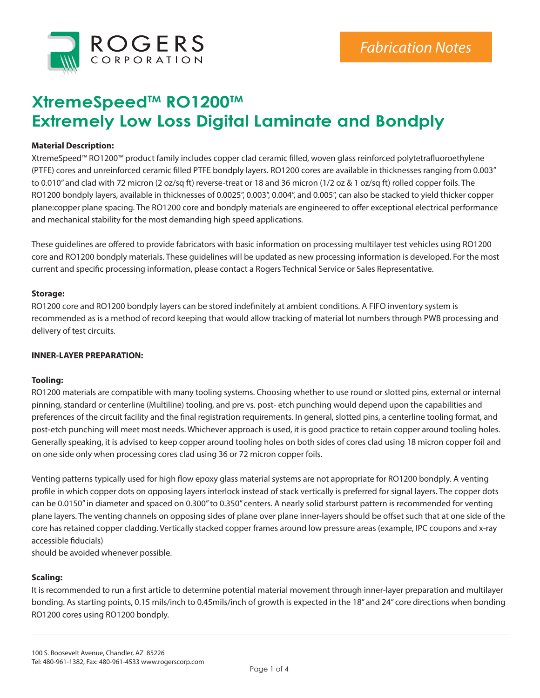

# **XtremeSpeedTM RO1200TM Extremely Low Loss Digital Laminate and Bondply**

# **Material Description:**

XtremeSpeed™ RO1200™ product family includes copper clad ceramic filled, woven glass reinforced polytetrafluoroethylene (PTFE) cores and unreinforced ceramic filled PTFE bondply layers. RO1200 cores are available in thicknesses ranging from 0.003" to 0.010" and clad with 72 micron (2 oz/sq ft) reverse-treat or 18 and 36 micron (1/2 oz & 1 oz/sq ft) rolled copper foils. The RO1200 bondply layers, available in thicknesses of 0.0025", 0.003", 0.004", and 0.005", can also be stacked to yield thicker copper plane:copper plane spacing. The RO1200 core and bondply materials are engineered to offer exceptional electrical performance and mechanical stability for the most demanding high speed applications.

These guidelines are offered to provide fabricators with basic information on processing multilayer test vehicles using RO1200 core and RO1200 bondply materials. These guidelines will be updated as new processing information is developed. For the most current and specific processing information, please contact a Rogers Technical Service or Sales Representative.

#### **Storage:**

RO1200 core and RO1200 bondply layers can be stored indefinitely at ambient conditions. A FIFO inventory system is recommended as is a method of record keeping that would allow tracking of material lot numbers through PWB processing and delivery of test circuits.

## **INNER-LAYER PREPARATION:**

## **Tooling:**

RO1200 materials are compatible with many tooling systems. Choosing whether to use round or slotted pins, external or internal pinning, standard or centerline (Multiline) tooling, and pre vs. post- etch punching would depend upon the capabilities and preferences of the circuit facility and the final registration requirements. In general, slotted pins, a centerline tooling format, and post-etch punching will meet most needs. Whichever approach is used, it is good practice to retain copper around tooling holes. Generally speaking, it is advised to keep copper around tooling holes on both sides of cores clad using 18 micron copper foil and on one side only when processing cores clad using 36 or 72 micron copper foils.

Venting patterns typically used for high flow epoxy glass material systems are not appropriate for RO1200 bondply. A venting profile in which copper dots on opposing layers interlock instead of stack vertically is preferred for signal layers. The copper dots can be 0.0150" in diameter and spaced on 0.300" to 0.350" centers. A nearly solid starburst pattern is recommended for venting plane layers. The venting channels on opposing sides of plane over plane inner-layers should be offset such that at one side of the core has retained copper cladding. Vertically stacked copper frames around low pressure areas (example, IPC coupons and x-ray accessible fiducials)

should be avoided whenever possible.

## **Scaling:**

It is recommended to run a first article to determine potential material movement through inner-layer preparation and multilayer bonding. As starting points, 0.15 mils/inch to 0.45mils/inch of growth is expected in the 18" and 24" core directions when bonding RO1200 cores using RO1200 bondply.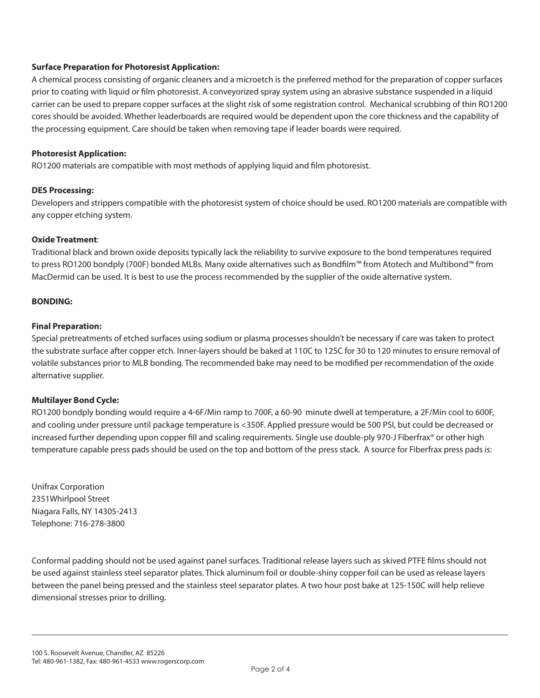# **Surface Preparation for Photoresist Application:**

A chemical process consisting of organic cleaners and a microetch is the preferred method for the preparation of copper surfaces prior to coating with liquid or film photoresist. A conveyorized spray system using an abrasive substance suspended in a liquid carrier can be used to prepare copper surfaces at the slight risk of some registration control. Mechanical scrubbing of thin RO1200 cores should be avoided. Whether leaderboards are required would be dependent upon the core thickness and the capability of the processing equipment. Care should be taken when removing tape if leader boards were required.

## **Photoresist Application:**

RO1200 materials are compatible with most methods of applying liquid and film photoresist.

#### **DES Processing:**

Developers and strippers compatible with the photoresist system of choice should be used. RO1200 materials are compatible with any copper etching system.

#### **Oxide Treatment**:

Traditional black and brown oxide deposits typically lack the reliability to survive exposure to the bond temperatures required to press RO1200 bondply (700F) bonded MLBs. Many oxide alternatives such as Bondfilm™ from Atotech and Multibond™ from MacDermid can be used. It is best to use the process recommended by the supplier of the oxide alternative system.

## **BONDING:**

#### **Final Preparation:**

Special pretreatments of etched surfaces using sodium or plasma processes shouldn't be necessary if care was taken to protect the substrate surface after copper etch. Inner-layers should be baked at 110C to 125C for 30 to 120 minutes to ensure removal of volatile substances prior to MLB bonding. The recommended bake may need to be modified per recommendation of the oxide alternative supplier.

## **Multilayer Bond Cycle:**

RO1200 bondply bonding would require a 4-6F/Min ramp to 700F, a 60-90 minute dwell at temperature, a 2F/Min cool to 600F, and cooling under pressure until package temperature is <350F. Applied pressure would be 500 PSI, but could be decreased or increased further depending upon copper fill and scaling requirements. Single use double-ply 970-J Fiberfrax® or other high temperature capable press pads should be used on the top and bottom of the press stack. A source for Fiberfrax press pads is:

Unifrax Corporation 2351Whirlpool Street Niagara Falls, NY 14305-2413 Telephone: 716-278-3800

Conformal padding should not be used against panel surfaces. Traditional release layers such as skived PTFE films should not be used against stainless steel separator plates. Thick aluminum foil or double-shiny copper foil can be used as release layers between the panel being pressed and the stainless steel separator plates. A two hour post bake at 125-150C will help relieve dimensional stresses prior to drilling.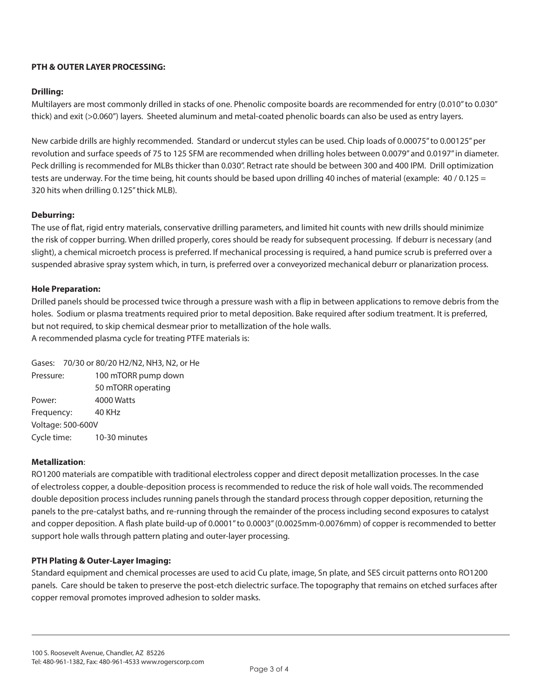# **PTH & OUTER LAYER PROCESSING:**

# **Drilling:**

Multilayers are most commonly drilled in stacks of one. Phenolic composite boards are recommended for entry (0.010" to 0.030" thick) and exit (>0.060") layers. Sheeted aluminum and metal-coated phenolic boards can also be used as entry layers.

New carbide drills are highly recommended. Standard or undercut styles can be used. Chip loads of 0.00075" to 0.00125" per revolution and surface speeds of 75 to 125 SFM are recommended when drilling holes between 0.0079" and 0.0197" in diameter. Peck drilling is recommended for MLBs thicker than 0.030". Retract rate should be between 300 and 400 IPM. Drill optimization tests are underway. For the time being, hit counts should be based upon drilling 40 inches of material (example: 40/0.125 = 320 hits when drilling 0.125" thick MLB).

# **Deburring:**

The use of flat, rigid entry materials, conservative drilling parameters, and limited hit counts with new drills should minimize the risk of copper burring. When drilled properly, cores should be ready for subsequent processing. If deburr is necessary (and slight), a chemical microetch process is preferred. If mechanical processing is required, a hand pumice scrub is preferred over a suspended abrasive spray system which, in turn, is preferred over a conveyorized mechanical deburr or planarization process.

## **Hole Preparation:**

Drilled panels should be processed twice through a pressure wash with a flip in between applications to remove debris from the holes. Sodium or plasma treatments required prior to metal deposition. Bake required after sodium treatment. It is preferred, but not required, to skip chemical desmear prior to metallization of the hole walls. A recommended plasma cycle for treating PTFE materials is:

Gases: 70/30 or 80/20 H2/N2, NH3, N2, or He Pressure: 100 mTORR pump down 50 mTORR operating Power: 4000 Watts Frequency: 40 KHz Voltage: 500-600V Cycle time: 10-30 minutes

## **Metallization**:

RO1200 materials are compatible with traditional electroless copper and direct deposit metallization processes. In the case of electroless copper, a double-deposition process is recommended to reduce the risk of hole wall voids. The recommended double deposition process includes running panels through the standard process through copper deposition, returning the panels to the pre-catalyst baths, and re-running through the remainder of the process including second exposures to catalyst and copper deposition. A flash plate build-up of 0.0001" to 0.0003" (0.0025mm-0.0076mm) of copper is recommended to better support hole walls through pattern plating and outer-layer processing.

## **PTH Plating & Outer-Layer Imaging:**

Standard equipment and chemical processes are used to acid Cu plate, image, Sn plate, and SES circuit patterns onto RO1200 panels. Care should be taken to preserve the post-etch dielectric surface. The topography that remains on etched surfaces after copper removal promotes improved adhesion to solder masks.